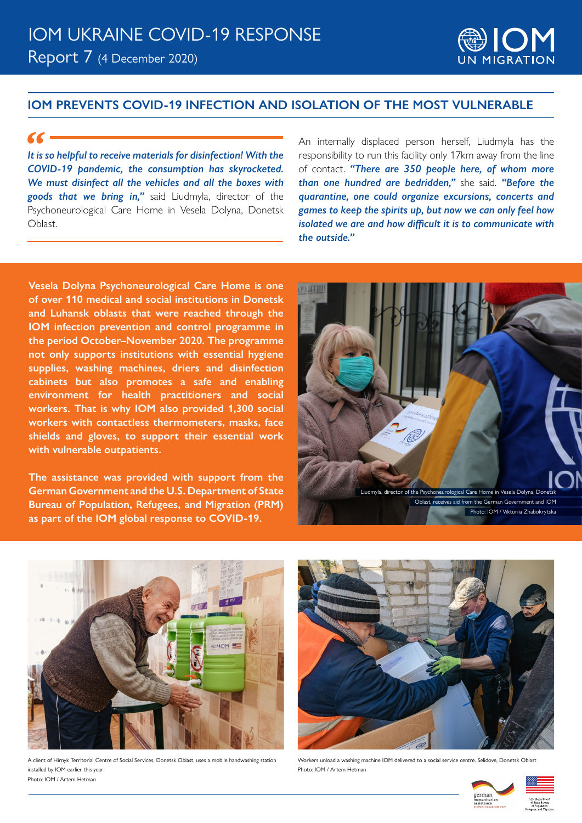## Report 7 (4 December 2020) IOM UKRAINE COVID-19 RESPONSE



### **IOM PREVENTS COVID-19 INFECTION AND ISOLATION OF THE MOST VULNERABLE**

#### *"*

*It is so helpful to receive materials for disinfection! With the COVID-19 pandemic, the consumption has skyrocketed. We must disinfect all the vehicles and all the boxes with goods that we bring in,"* said Liudmyla, director of the Psychoneurological Care Home in Vesela Dolyna, Donetsk Oblast.

An internally displaced person herself, Liudmyla has the responsibility to run this facility only 17km away from the line of contact. *"There are 350 people here, of whom more than one hundred are bedridden,"* she said. *"Before the quarantine, one could organize excursions, concerts and games to keep the spirits up, but now we can only feel how isolated we are and how difficult it is to communicate with the outside."*

**Vesela Dolyna Psychoneurological Care Home is one of over 110 medical and social institutions in Donetsk and Luhansk oblasts that were reached through the IOM infection prevention and control programme in the period October–November 2020. The programme not only supports institutions with essential hygiene supplies, washing machines, driers and disinfection cabinets but also promotes a safe and enabling environment for health practitioners and social workers. That is why IOM also provided 1,300 social workers with contactless thermometers, masks, face shields and gloves, to support their essential work with vulnerable outpatients.**

**The assistance was provided with support from the German Government and the U.S. Department of State Bureau of Population, Refugees, and Migration (PRM) as part of the IOM global response to COVID-19.**





A client of Hirnyk Territorial Centre of Social Services, Donetsk Oblast, uses a mobile handwashing station installed by IOM earlier this year Photo: IOM / Artem Hetman



Workers unload a washing machine IOM delivered to a social service centre. Selidove, Donetsk Oblast Photo: IOM / Artem Hetman

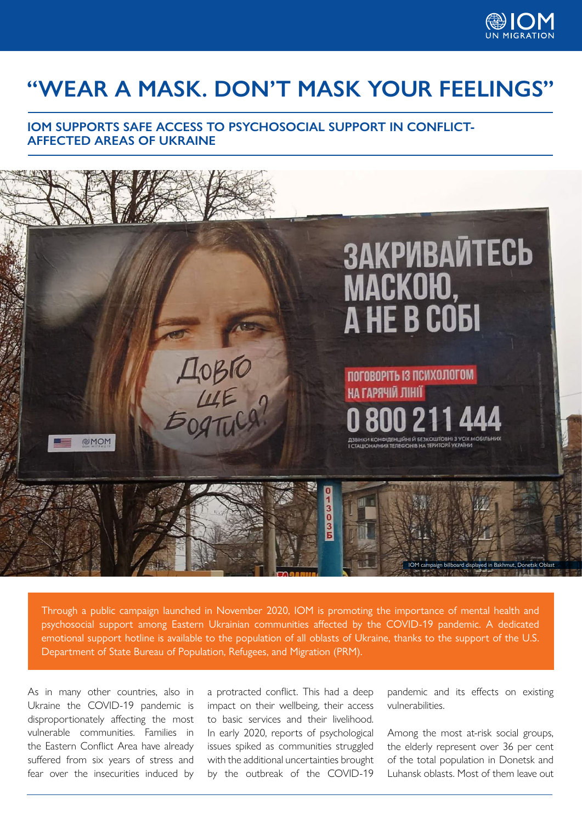

# **"WEAR A MASK. DON'T MASK YOUR FEELINGS"**

### **IOM SUPPORTS SAFE ACCESS TO PSYCHOSOCIAL SUPPORT IN CONFLICT-AFFECTED AREAS OF UKRAINE**



Through a public campaign launched in November 2020, IOM is promoting the importance of mental health and psychosocial support among Eastern Ukrainian communities affected by the COVID-19 pandemic. A dedicated emotional support hotline is available to the population of all oblasts of Ukraine, thanks to the support of the U.S. Department of State Bureau of Population, Refugees, and Migration (PRM).

As in many other countries, also in Ukraine the COVID-19 pandemic is disproportionately affecting the most vulnerable communities. Families in the Eastern Conflict Area have already suffered from six years of stress and fear over the insecurities induced by a protracted conflict. This had a deep impact on their wellbeing, their access to basic services and their livelihood. In early 2020, reports of psychological issues spiked as communities struggled with the additional uncertainties brought by the outbreak of the COVID-19

pandemic and its effects on existing vulnerabilities.

Among the most at-risk social groups, the elderly represent over 36 per cent of the total population in Donetsk and Luhansk oblasts. Most of them leave out